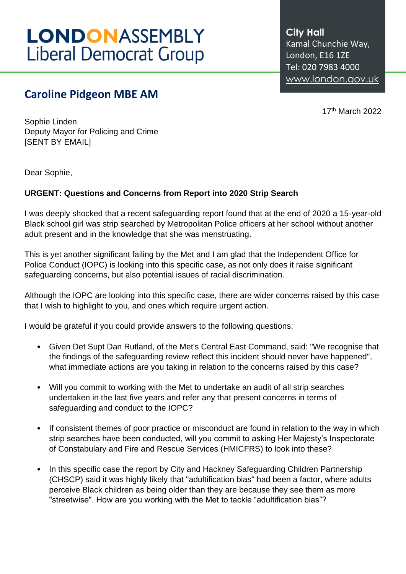## **LONDONASSEMBLY Liberal Democrat Group**

## **Caroline Pidgeon MBE AM**

**City Hall** Kamal Chunchie Way, London, E16 1ZE Tel: 020 7983 4000 [www.london.gov.uk](http://www.london.gov.uk/)

17th March 2022

Sophie Linden Deputy Mayor for Policing and Crime [SENT BY EMAIL]

Dear Sophie,

## **URGENT: Questions and Concerns from Report into 2020 Strip Search**

I was deeply shocked that a recent safeguarding report found that at the end of 2020 a 15-year-old Black school girl was strip searched by Metropolitan Police officers at her school without another adult present and in the knowledge that she was menstruating.

This is yet another significant failing by the Met and I am glad that the Independent Office for Police Conduct (IOPC) is looking into this specific case, as not only does it raise significant safeguarding concerns, but also potential issues of racial discrimination.

Although the IOPC are looking into this specific case, there are wider concerns raised by this case that I wish to highlight to you, and ones which require urgent action.

I would be grateful if you could provide answers to the following questions:

- Given Det Supt Dan Rutland, of the Met's Central East Command, said: "We recognise that the findings of the safeguarding review reflect this incident should never have happened", what immediate actions are you taking in relation to the concerns raised by this case?
- Will you commit to working with the Met to undertake an audit of all strip searches undertaken in the last five years and refer any that present concerns in terms of safeguarding and conduct to the IOPC?
- If consistent themes of poor practice or misconduct are found in relation to the way in which strip searches have been conducted, will you commit to asking Her Majesty's Inspectorate of Constabulary and Fire and Rescue Services (HMICFRS) to look into these?
- In this specific case the report by City and Hackney Safeguarding Children Partnership (CHSCP) said it was highly likely that "adultification bias" had been a factor, where adults perceive Black children as being older than they are because they see them as more "streetwise". How are you working with the Met to tackle "adultification bias"?